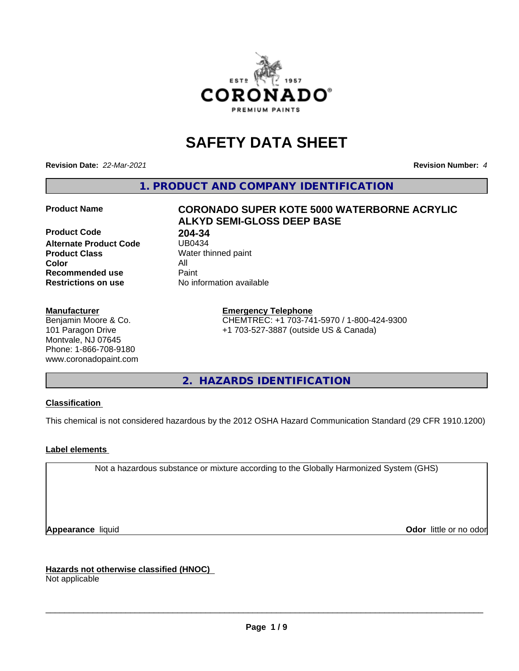

# **SAFETY DATA SHEET**

**Revision Date:** *22-Mar-2021* **Revision Number:** *4*

**1. PRODUCT AND COMPANY IDENTIFICATION**

**Product Code 68 204-34<br>Alternate Product Code 68 1080434 Alternate Product Code Product Class** Water thinned paint<br> **Color** All **Color** All **Recommended use Caint Restrictions on use** No information available

#### **Manufacturer**

Benjamin Moore & Co. 101 Paragon Drive Montvale, NJ 07645 Phone: 1-866-708-9180 www.coronadopaint.com

# **Product Name CORONADO SUPER KOTE 5000 WATERBORNE ACRYLIC ALKYD SEMI-GLOSS DEEP BASE**

**Emergency Telephone** CHEMTREC: +1 703-741-5970 / 1-800-424-9300 +1 703-527-3887 (outside US & Canada)

**2. HAZARDS IDENTIFICATION**

#### **Classification**

This chemical is not considered hazardous by the 2012 OSHA Hazard Communication Standard (29 CFR 1910.1200)

#### **Label elements**

Not a hazardous substance or mixture according to the Globally Harmonized System (GHS)

**Appearance** liquid **Contract Contract Contract Contract Contract Contract Contract Contract Contract Contract Contract Contract Contract Contract Contract Contract Contract Contract Contract Contract Contract Contract Con** 

**Hazards not otherwise classified (HNOC)**

Not applicable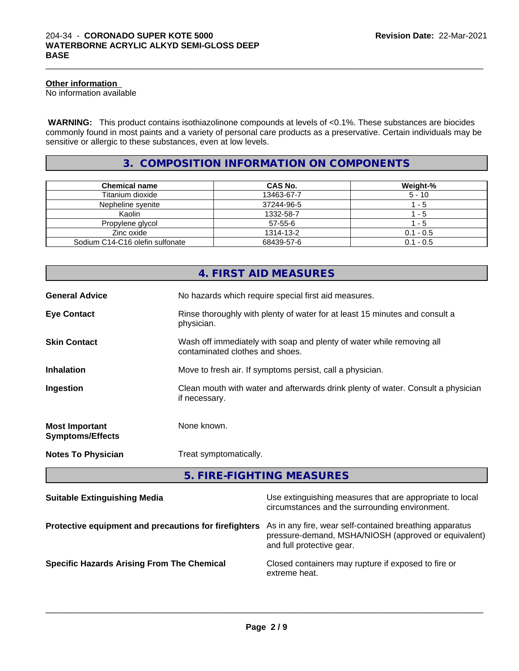#### **Other information**

No information available

 **WARNING:** This product contains isothiazolinone compounds at levels of <0.1%. These substances are biocides commonly found in most paints and a variety of personal care products as a preservative. Certain individuals may be sensitive or allergic to these substances, even at low levels.

 $\_$  ,  $\_$  ,  $\_$  ,  $\_$  ,  $\_$  ,  $\_$  ,  $\_$  ,  $\_$  ,  $\_$  ,  $\_$  ,  $\_$  ,  $\_$  ,  $\_$  ,  $\_$  ,  $\_$  ,  $\_$  ,  $\_$  ,  $\_$  ,  $\_$  ,  $\_$  ,  $\_$  ,  $\_$  ,  $\_$  ,  $\_$  ,  $\_$  ,  $\_$  ,  $\_$  ,  $\_$  ,  $\_$  ,  $\_$  ,  $\_$  ,  $\_$  ,  $\_$  ,  $\_$  ,  $\_$  ,  $\_$  ,  $\_$  ,

# **3. COMPOSITION INFORMATION ON COMPONENTS**

| <b>Chemical name</b>            | <b>CAS No.</b> | Weight-%    |
|---------------------------------|----------------|-------------|
| Titanium dioxide                | 13463-67-7     | $5 - 10$    |
| Nepheline syenite               | 37244-96-5     | - 5         |
| Kaolin                          | 1332-58-7      | - 5         |
| Propylene glycol                | $57 - 55 - 6$  | - 5         |
| Zinc oxide                      | 1314-13-2      | $0.1 - 0.5$ |
| Sodium C14-C16 olefin sulfonate | 68439-57-6     | $0.1 - 0.5$ |

|                                                  | 4. FIRST AID MEASURES                                                                                    |
|--------------------------------------------------|----------------------------------------------------------------------------------------------------------|
| <b>General Advice</b>                            | No hazards which require special first aid measures.                                                     |
| <b>Eye Contact</b>                               | Rinse thoroughly with plenty of water for at least 15 minutes and consult a<br>physician.                |
| <b>Skin Contact</b>                              | Wash off immediately with soap and plenty of water while removing all<br>contaminated clothes and shoes. |
| <b>Inhalation</b>                                | Move to fresh air. If symptoms persist, call a physician.                                                |
| Ingestion                                        | Clean mouth with water and afterwards drink plenty of water. Consult a physician<br>if necessary.        |
| <b>Most Important</b><br><b>Symptoms/Effects</b> | None known.                                                                                              |
| <b>Notes To Physician</b>                        | Treat symptomatically.                                                                                   |
|                                                  |                                                                                                          |

| 5. FIRE-FIGHTING MEASURES |
|---------------------------|
|---------------------------|

| <b>Suitable Extinguishing Media</b>                   | Use extinguishing measures that are appropriate to local<br>circumstances and the surrounding environment.                                   |
|-------------------------------------------------------|----------------------------------------------------------------------------------------------------------------------------------------------|
| Protective equipment and precautions for firefighters | As in any fire, wear self-contained breathing apparatus<br>pressure-demand, MSHA/NIOSH (approved or equivalent)<br>and full protective gear. |
| <b>Specific Hazards Arising From The Chemical</b>     | Closed containers may rupture if exposed to fire or<br>extreme heat.                                                                         |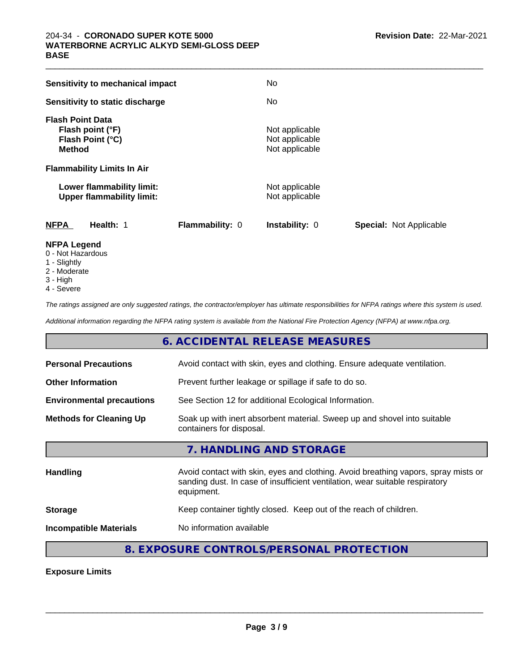| <b>Sensitivity to mechanical impact</b>                                          | No                                                 |                                |
|----------------------------------------------------------------------------------|----------------------------------------------------|--------------------------------|
| Sensitivity to static discharge                                                  | No                                                 |                                |
| <b>Flash Point Data</b><br>Flash point (°F)<br>Flash Point (°C)<br><b>Method</b> | Not applicable<br>Not applicable<br>Not applicable |                                |
| <b>Flammability Limits In Air</b>                                                |                                                    |                                |
| Lower flammability limit:<br><b>Upper flammability limit:</b>                    | Not applicable<br>Not applicable                   |                                |
| <b>NFPA</b><br>Health: 1                                                         | <b>Flammability: 0</b><br><b>Instability: 0</b>    | <b>Special: Not Applicable</b> |

 $\_$  ,  $\_$  ,  $\_$  ,  $\_$  ,  $\_$  ,  $\_$  ,  $\_$  ,  $\_$  ,  $\_$  ,  $\_$  ,  $\_$  ,  $\_$  ,  $\_$  ,  $\_$  ,  $\_$  ,  $\_$  ,  $\_$  ,  $\_$  ,  $\_$  ,  $\_$  ,  $\_$  ,  $\_$  ,  $\_$  ,  $\_$  ,  $\_$  ,  $\_$  ,  $\_$  ,  $\_$  ,  $\_$  ,  $\_$  ,  $\_$  ,  $\_$  ,  $\_$  ,  $\_$  ,  $\_$  ,  $\_$  ,  $\_$  ,

#### **NFPA Legend**

- 0 Not Hazardous
- 1 Slightly
- 2 Moderate
- 3 High
- 4 Severe

*The ratings assigned are only suggested ratings, the contractor/employer has ultimate responsibilities for NFPA ratings where this system is used.*

*Additional information regarding the NFPA rating system is available from the National Fire Protection Agency (NFPA) at www.nfpa.org.*

# **6. ACCIDENTAL RELEASE MEASURES**

| <b>Personal Precautions</b>      | Avoid contact with skin, eyes and clothing. Ensure adequate ventilation.                                                                                                         |
|----------------------------------|----------------------------------------------------------------------------------------------------------------------------------------------------------------------------------|
| <b>Other Information</b>         | Prevent further leakage or spillage if safe to do so.                                                                                                                            |
| <b>Environmental precautions</b> | See Section 12 for additional Ecological Information.                                                                                                                            |
| <b>Methods for Cleaning Up</b>   | Soak up with inert absorbent material. Sweep up and shovel into suitable<br>containers for disposal.                                                                             |
|                                  | 7. HANDLING AND STORAGE                                                                                                                                                          |
| <b>Handling</b>                  | Avoid contact with skin, eyes and clothing. Avoid breathing vapors, spray mists or<br>sanding dust. In case of insufficient ventilation, wear suitable respiratory<br>equipment. |
| <b>Storage</b>                   | Keep container tightly closed. Keep out of the reach of children.                                                                                                                |
| <b>Incompatible Materials</b>    | No information available                                                                                                                                                         |
|                                  |                                                                                                                                                                                  |

# **8. EXPOSURE CONTROLS/PERSONAL PROTECTION**

**Exposure Limits**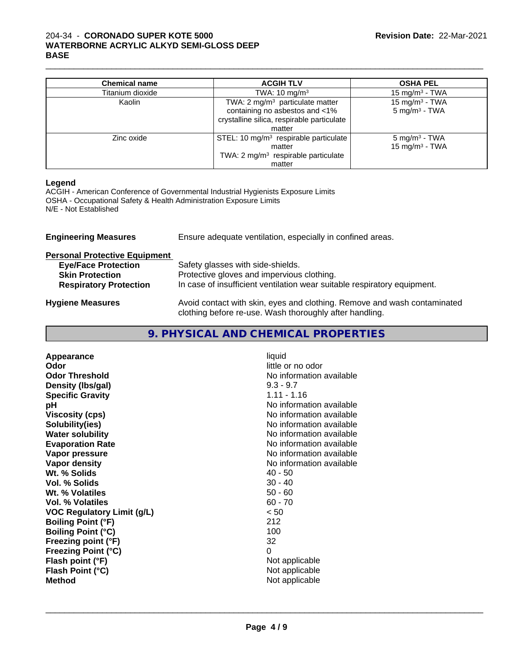#### 204-34 - **CORONADO SUPER KOTE 5000 WATERBORNE ACRYLIC ALKYD SEMI-GLOSS DEEP BASE**

| <b>Chemical name</b> | <b>ACGIH TLV</b>                                | <b>OSHA PEL</b>            |
|----------------------|-------------------------------------------------|----------------------------|
| Titanium dioxide     | TWA: $10 \text{ mg/m}^3$                        | 15 mg/m $3$ - TWA          |
| Kaolin               | TWA: 2 mg/m <sup>3</sup> particulate matter     | 15 mg/m <sup>3</sup> - TWA |
|                      | containing no asbestos and <1%                  | 5 mg/m <sup>3</sup> - TWA  |
|                      | crystalline silica, respirable particulate      |                            |
|                      | matter                                          |                            |
| Zinc oxide           | STEL: 10 $mg/m3$ respirable particulate         | $5 \text{ mg/m}^3$ - TWA   |
|                      | matter                                          | 15 mg/m <sup>3</sup> - TWA |
|                      | TWA: 2 mg/m <sup>3</sup> respirable particulate |                            |
|                      | matter                                          |                            |

 $\_$  ,  $\_$  ,  $\_$  ,  $\_$  ,  $\_$  ,  $\_$  ,  $\_$  ,  $\_$  ,  $\_$  ,  $\_$  ,  $\_$  ,  $\_$  ,  $\_$  ,  $\_$  ,  $\_$  ,  $\_$  ,  $\_$  ,  $\_$  ,  $\_$  ,  $\_$  ,  $\_$  ,  $\_$  ,  $\_$  ,  $\_$  ,  $\_$  ,  $\_$  ,  $\_$  ,  $\_$  ,  $\_$  ,  $\_$  ,  $\_$  ,  $\_$  ,  $\_$  ,  $\_$  ,  $\_$  ,  $\_$  ,  $\_$  ,

#### **Legend**

ACGIH - American Conference of Governmental Industrial Hygienists Exposure Limits OSHA - Occupational Safety & Health Administration Exposure Limits N/E - Not Established

| <b>Engineering Measures</b>          | Ensure adequate ventilation, especially in confined areas.                                                                          |  |  |
|--------------------------------------|-------------------------------------------------------------------------------------------------------------------------------------|--|--|
| <b>Personal Protective Equipment</b> |                                                                                                                                     |  |  |
| <b>Eye/Face Protection</b>           | Safety glasses with side-shields.                                                                                                   |  |  |
| <b>Skin Protection</b>               | Protective gloves and impervious clothing.                                                                                          |  |  |
| <b>Respiratory Protection</b>        | In case of insufficient ventilation wear suitable respiratory equipment.                                                            |  |  |
| <b>Hygiene Measures</b>              | Avoid contact with skin, eyes and clothing. Remove and wash contaminated<br>clothing before re-use. Wash thoroughly after handling. |  |  |

| Appearance                        | liquid                                        |
|-----------------------------------|-----------------------------------------------|
| Odor<br><b>Odor Threshold</b>     | little or no odor<br>No information available |
|                                   | $9.3 - 9.7$                                   |
| Density (Ibs/gal)                 | $1.11 - 1.16$                                 |
| <b>Specific Gravity</b>           | No information available                      |
| рH                                |                                               |
| <b>Viscosity (cps)</b>            | No information available                      |
| Solubility(ies)                   | No information available                      |
| <b>Water solubility</b>           | No information available                      |
| <b>Evaporation Rate</b>           | No information available                      |
| Vapor pressure                    | No information available                      |
| Vapor density                     | No information available                      |
| Wt. % Solids                      | 40 - 50                                       |
| Vol. % Solids                     | $30 - 40$                                     |
| Wt. % Volatiles                   | $50 - 60$                                     |
| Vol. % Volatiles                  | $60 - 70$                                     |
| <b>VOC Regulatory Limit (g/L)</b> | < 50                                          |
| <b>Boiling Point (°F)</b>         | 212                                           |
| <b>Boiling Point (°C)</b>         | 100                                           |
| Freezing point (°F)               | 32                                            |
| <b>Freezing Point (°C)</b>        | 0                                             |
| Flash point (°F)                  | Not applicable                                |
| Flash Point (°C)                  | Not applicable                                |
| <b>Method</b>                     | Not applicable                                |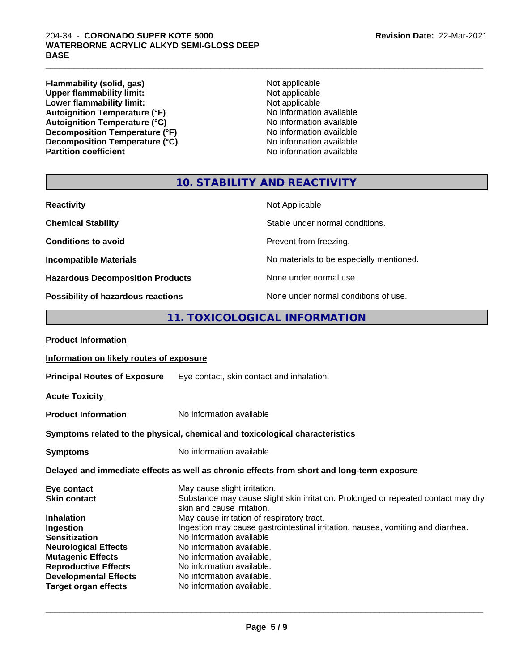#### 204-34 - **CORONADO SUPER KOTE 5000 WATERBORNE ACRYLIC ALKYD SEMI-GLOSS DEEP BASE**

**Flammability (solid, gas)**<br> **Commability limit:**<br>
Upper flammability limit:<br>
Not applicable **Upper flammability limit:**<br> **Lower flammability limit:**<br>
Not applicable<br>
Not applicable **Lower flammability limit:**<br> **Autoignition Temperature (°F)**<br>
Mo information available Autoignition Temperature (°F)<br>
Autoignition Temperature (°C)<br>
No information available Autoignition Temperature (°C)<br>
Decomposition Temperature (°F)<br>
No information available **Decomposition Temperature (°F)**<br> **Decomposition Temperature (°C)** No information available<br>
No information available **Decomposition Temperature (°C)**<br>Partition coefficient

**No information available** 

 $\_$  ,  $\_$  ,  $\_$  ,  $\_$  ,  $\_$  ,  $\_$  ,  $\_$  ,  $\_$  ,  $\_$  ,  $\_$  ,  $\_$  ,  $\_$  ,  $\_$  ,  $\_$  ,  $\_$  ,  $\_$  ,  $\_$  ,  $\_$  ,  $\_$  ,  $\_$  ,  $\_$  ,  $\_$  ,  $\_$  ,  $\_$  ,  $\_$  ,  $\_$  ,  $\_$  ,  $\_$  ,  $\_$  ,  $\_$  ,  $\_$  ,  $\_$  ,  $\_$  ,  $\_$  ,  $\_$  ,  $\_$  ,  $\_$  ,

# **10. STABILITY AND REACTIVITY**

| <b>Reactivity</b>                         | Not Applicable                           |
|-------------------------------------------|------------------------------------------|
| <b>Chemical Stability</b>                 | Stable under normal conditions.          |
| <b>Conditions to avoid</b>                | Prevent from freezing.                   |
| <b>Incompatible Materials</b>             | No materials to be especially mentioned. |
| <b>Hazardous Decomposition Products</b>   | None under normal use.                   |
| <b>Possibility of hazardous reactions</b> | None under normal conditions of use.     |

# **11. TOXICOLOGICAL INFORMATION**

| <b>Product Information</b>                                                                 |                                                                                                                   |  |
|--------------------------------------------------------------------------------------------|-------------------------------------------------------------------------------------------------------------------|--|
| Information on likely routes of exposure                                                   |                                                                                                                   |  |
| <b>Principal Routes of Exposure</b>                                                        | Eye contact, skin contact and inhalation.                                                                         |  |
| <b>Acute Toxicity</b>                                                                      |                                                                                                                   |  |
| <b>Product Information</b>                                                                 | No information available                                                                                          |  |
| Symptoms related to the physical, chemical and toxicological characteristics               |                                                                                                                   |  |
| <b>Symptoms</b>                                                                            | No information available                                                                                          |  |
| Delayed and immediate effects as well as chronic effects from short and long-term exposure |                                                                                                                   |  |
| Eye contact<br><b>Skin contact</b>                                                         | May cause slight irritation.<br>Substance may cause slight skin irritation. Prolonged or repeated contact may dry |  |
|                                                                                            | skin and cause irritation.                                                                                        |  |
| <b>Inhalation</b>                                                                          | May cause irritation of respiratory tract.                                                                        |  |
| Ingestion                                                                                  | Ingestion may cause gastrointestinal irritation, nausea, vomiting and diarrhea.                                   |  |
| <b>Sensitization</b>                                                                       | No information available                                                                                          |  |
| <b>Neurological Effects</b>                                                                | No information available.                                                                                         |  |
| <b>Mutagenic Effects</b>                                                                   | No information available.                                                                                         |  |
| <b>Reproductive Effects</b>                                                                | No information available.                                                                                         |  |
| <b>Developmental Effects</b>                                                               | No information available.                                                                                         |  |
| <b>Target organ effects</b>                                                                | No information available.                                                                                         |  |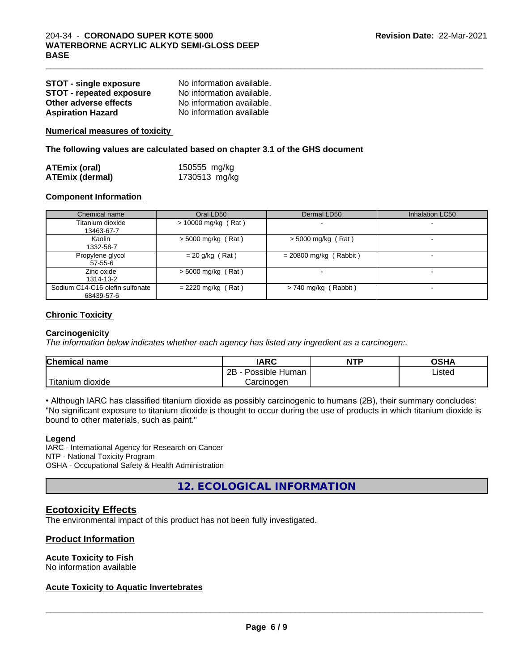| <b>STOT - single exposure</b>   | No information available. |
|---------------------------------|---------------------------|
| <b>STOT - repeated exposure</b> | No information available. |
| Other adverse effects           | No information available. |
| <b>Aspiration Hazard</b>        | No information available  |

**Numerical measures of toxicity**

**The following values are calculated based on chapter 3.1 of the GHS document**

| <b>ATEmix (oral)</b>   | 150555 mg/kg  |  |
|------------------------|---------------|--|
| <b>ATEmix (dermal)</b> | 1730513 mg/kg |  |

#### **Component Information**

| Chemical name                   | Oral LD50            | Dermal LD50              | <b>Inhalation LC50</b> |
|---------------------------------|----------------------|--------------------------|------------------------|
| Titanium dioxide                | > 10000 mg/kg (Rat)  |                          |                        |
| 13463-67-7                      |                      |                          |                        |
| Kaolin                          | $>$ 5000 mg/kg (Rat) | $>$ 5000 mg/kg (Rat)     |                        |
| 1332-58-7                       |                      |                          |                        |
| Propylene glycol                | $= 20$ g/kg (Rat)    | $= 20800$ mg/kg (Rabbit) |                        |
| 57-55-6                         |                      |                          |                        |
| Zinc oxide                      | $> 5000$ mg/kg (Rat) |                          |                        |
| 1314-13-2                       |                      |                          |                        |
| Sodium C14-C16 olefin sulfonate | $= 2220$ mg/kg (Rat) | $> 740$ mg/kg (Rabbit)   |                        |
| 68439-57-6                      |                      |                          |                        |

 $\_$  ,  $\_$  ,  $\_$  ,  $\_$  ,  $\_$  ,  $\_$  ,  $\_$  ,  $\_$  ,  $\_$  ,  $\_$  ,  $\_$  ,  $\_$  ,  $\_$  ,  $\_$  ,  $\_$  ,  $\_$  ,  $\_$  ,  $\_$  ,  $\_$  ,  $\_$  ,  $\_$  ,  $\_$  ,  $\_$  ,  $\_$  ,  $\_$  ,  $\_$  ,  $\_$  ,  $\_$  ,  $\_$  ,  $\_$  ,  $\_$  ,  $\_$  ,  $\_$  ,  $\_$  ,  $\_$  ,  $\_$  ,  $\_$  ,

#### **Chronic Toxicity**

#### **Carcinogenicity**

*The information below indicateswhether each agency has listed any ingredient as a carcinogen:.*

| Chemical<br>name                                                                                                                                | <b>IARC</b>                 | <b>NTP</b> | <b>OSHA</b> |
|-------------------------------------------------------------------------------------------------------------------------------------------------|-----------------------------|------------|-------------|
|                                                                                                                                                 | <br>2B<br>Human<br>Possible |            | Listed      |
| <b>The Contract of the Contract of the Contract of the Contract of the Contract of the Contract of the Contract o</b><br>ı dioxide<br>l itanıum | Carcinoɑen                  |            |             |

• Although IARC has classified titanium dioxide as possibly carcinogenic to humans (2B), their summary concludes: "No significant exposure to titanium dioxide is thought to occur during the use of products in which titanium dioxide is bound to other materials, such as paint."

#### **Legend**

IARC - International Agency for Research on Cancer NTP - National Toxicity Program OSHA - Occupational Safety & Health Administration

**12. ECOLOGICAL INFORMATION**

## **Ecotoxicity Effects**

The environmental impact of this product has not been fully investigated.

#### **Product Information**

#### **Acute Toxicity to Fish**

No information available

#### **Acute Toxicity to Aquatic Invertebrates**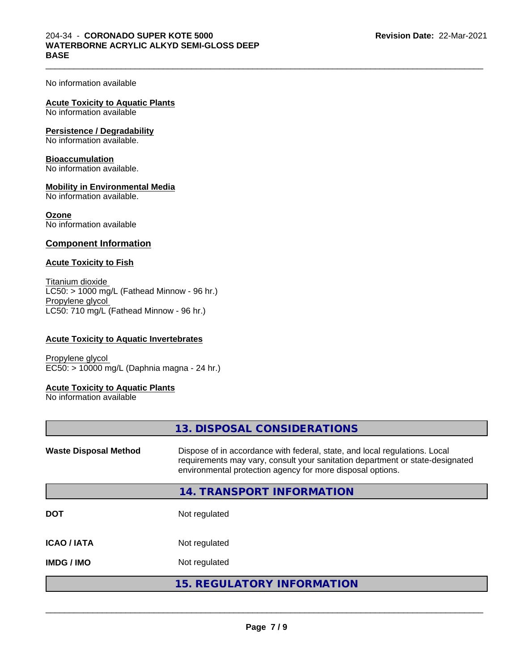$\_$  ,  $\_$  ,  $\_$  ,  $\_$  ,  $\_$  ,  $\_$  ,  $\_$  ,  $\_$  ,  $\_$  ,  $\_$  ,  $\_$  ,  $\_$  ,  $\_$  ,  $\_$  ,  $\_$  ,  $\_$  ,  $\_$  ,  $\_$  ,  $\_$  ,  $\_$  ,  $\_$  ,  $\_$  ,  $\_$  ,  $\_$  ,  $\_$  ,  $\_$  ,  $\_$  ,  $\_$  ,  $\_$  ,  $\_$  ,  $\_$  ,  $\_$  ,  $\_$  ,  $\_$  ,  $\_$  ,  $\_$  ,  $\_$  ,

No information available

#### **Acute Toxicity to Aquatic Plants**

No information available

#### **Persistence / Degradability**

No information available.

#### **Bioaccumulation**

No information available.

#### **Mobility in Environmental Media**

No information available.

#### **Ozone**

No information available

#### **Component Information**

#### **Acute Toxicity to Fish**

Titanium dioxide  $LC50:$  > 1000 mg/L (Fathead Minnow - 96 hr.) Propylene glycol LC50: 710 mg/L (Fathead Minnow - 96 hr.)

#### **Acute Toxicity to Aquatic Invertebrates**

Propylene glycol EC50: > 10000 mg/L (Daphnia magna - 24 hr.)

#### **Acute Toxicity to Aquatic Plants**

No information available

| 13. DISPOSAL CONSIDERATIONS                                                                                                                                                                                               |
|---------------------------------------------------------------------------------------------------------------------------------------------------------------------------------------------------------------------------|
| Dispose of in accordance with federal, state, and local regulations. Local<br>requirements may vary, consult your sanitation department or state-designated<br>environmental protection agency for more disposal options. |
| 14. TRANSPORT INFORMATION                                                                                                                                                                                                 |
| Not regulated                                                                                                                                                                                                             |
| Not regulated                                                                                                                                                                                                             |
| Not regulated                                                                                                                                                                                                             |
| <b>15. REGULATORY INFORMATION</b>                                                                                                                                                                                         |
|                                                                                                                                                                                                                           |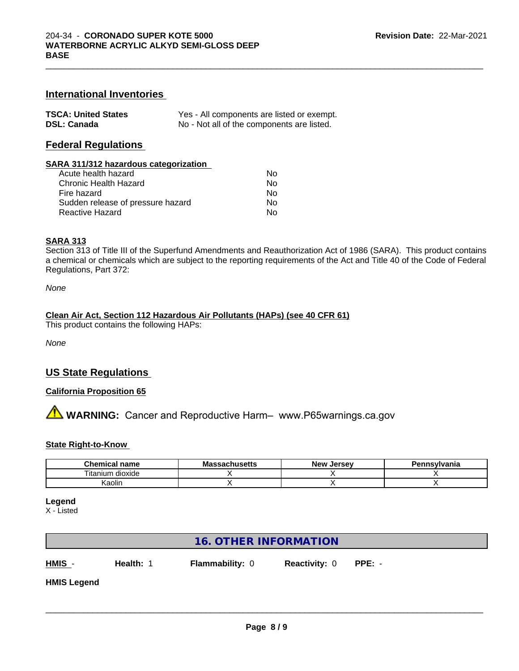### **International Inventories**

| <b>TSCA: United States</b> | Yes - All components are listed or exempt. |
|----------------------------|--------------------------------------------|
| <b>DSL: Canada</b>         | No - Not all of the components are listed. |

### **Federal Regulations**

#### **SARA 311/312 hazardous categorization**

| Acute health hazard               | Nο |
|-----------------------------------|----|
| Chronic Health Hazard             | N٥ |
| Fire hazard                       | Nο |
| Sudden release of pressure hazard | Nο |
| Reactive Hazard                   | N٥ |

#### **SARA 313**

Section 313 of Title III of the Superfund Amendments and Reauthorization Act of 1986 (SARA). This product contains a chemical or chemicals which are subject to the reporting requirements of the Act and Title 40 of the Code of Federal Regulations, Part 372:

*None*

#### **Clean Air Act,Section 112 Hazardous Air Pollutants (HAPs) (see 40 CFR 61)**

This product contains the following HAPs:

*None*

#### **US State Regulations**

#### **California Proposition 65**

**AVIMARNING:** Cancer and Reproductive Harm– www.P65warnings.ca.gov

#### **State Right-to-Know**

| Chemical<br>name      | הה<br>n hucatte<br>.vıa<br>⊶atiluscus | <b>Jersev</b><br><b>Nev</b> | Pennsvlvania |
|-----------------------|---------------------------------------|-----------------------------|--------------|
| ⊦dioxide<br>l itanium |                                       |                             |              |
| Kaolin                |                                       |                             |              |

**Legend**

X - Listed

| <b>16. OTHER INFORMATION</b> |           |                        |                             |  |
|------------------------------|-----------|------------------------|-----------------------------|--|
| $HMIS -$                     | Health: 1 | <b>Flammability: 0</b> | <b>Reactivity: 0 PPE: -</b> |  |
| <b>HMIS Legend</b>           |           |                        |                             |  |